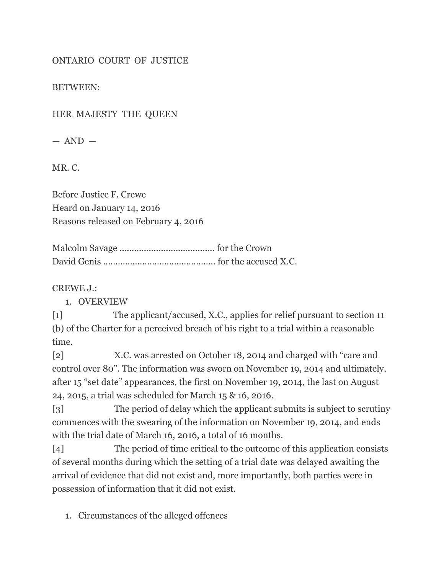## ONTARIO COURT OF JUSTICE

BETWEEN:

HER MAJESTY THE QUEEN

 $-$  AND  $-$ 

MR. C.

Before Justice F. Crewe Heard on January 14, 2016 Reasons released on February 4, 2016

Malcolm Savage ....................................... for the Crown David Genis .............................................. for the accused X.C.

CREWE J.:

1. OVERVIEW

[1] The applicant/accused, X.C., applies for relief pursuant to section 11 (b) of the Charter for a perceived breach of his right to a trial within a reasonable time.

[2] X.C. was arrested on October 18, 2014 and charged with "care and control over 80". The information was sworn on November 19, 2014 and ultimately, after 15 "set date" appearances, the first on November 19, 2014, the last on August 24, 2015, a trial was scheduled for March 15 & 16, 2016.

[3] The period of delay which the applicant submits is subject to scrutiny commences with the swearing of the information on November 19, 2014, and ends with the trial date of March 16, 2016, a total of 16 months.

[4] The period of time critical to the outcome of this application consists of several months during which the setting of a trial date was delayed awaiting the arrival of evidence that did not exist and, more importantly, both parties were in possession of information that it did not exist.

1. Circumstances of the alleged offences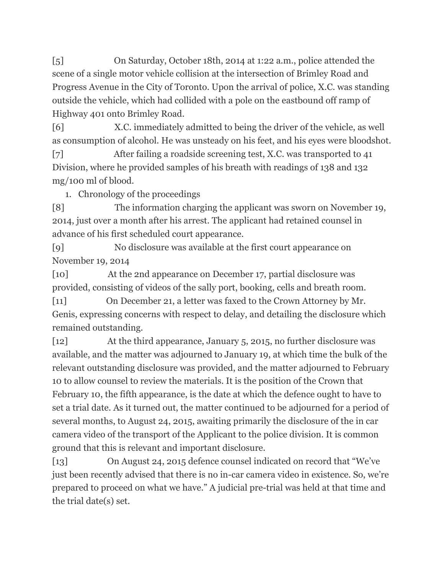[5] On Saturday, October 18th, 2014 at 1:22 a.m., police attended the scene of a single motor vehicle collision at the intersection of Brimley Road and Progress Avenue in the City of Toronto. Upon the arrival of police, X.C. was standing outside the vehicle, which had collided with a pole on the eastbound off ramp of Highway 401 onto Brimley Road.

[6] X.C. immediately admitted to being the driver of the vehicle, as well as consumption of alcohol. He was unsteady on his feet, and his eyes were bloodshot.

[7] After failing a roadside screening test, X.C. was transported to 41 Division, where he provided samples of his breath with readings of 138 and 132 mg/100 ml of blood.

1. Chronology of the proceedings

[8] The information charging the applicant was sworn on November 19, 2014, just over a month after his arrest. The applicant had retained counsel in advance of his first scheduled court appearance.

[9] No disclosure was available at the first court appearance on November 19, 2014

[10] At the 2nd appearance on December 17, partial disclosure was provided, consisting of videos of the sally port, booking, cells and breath room.

[11] On December 21, a letter was faxed to the Crown Attorney by Mr. Genis, expressing concerns with respect to delay, and detailing the disclosure which remained outstanding.

[12] At the third appearance, January 5, 2015, no further disclosure was available, and the matter was adjourned to January 19, at which time the bulk of the relevant outstanding disclosure was provided, and the matter adjourned to February 10 to allow counsel to review the materials. It is the position of the Crown that February 10, the fifth appearance, is the date at which the defence ought to have to set a trial date. As it turned out, the matter continued to be adjourned for a period of several months, to August 24, 2015, awaiting primarily the disclosure of the in car camera video of the transport of the Applicant to the police division. It is common ground that this is relevant and important disclosure.

[13] On August 24, 2015 defence counsel indicated on record that "We've just been recently advised that there is no in-car camera video in existence. So, we're prepared to proceed on what we have." A judicial pre-trial was held at that time and the trial date(s) set.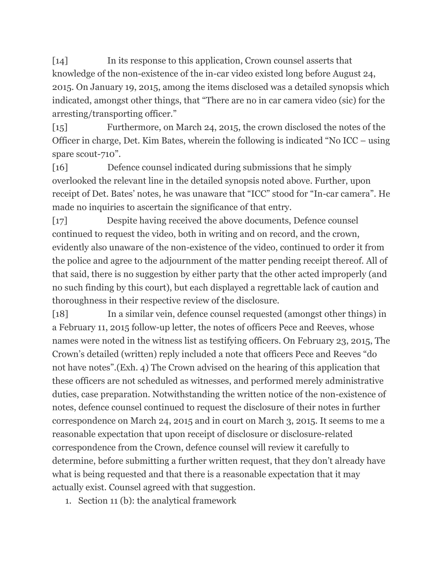[14] In its response to this application, Crown counsel asserts that knowledge of the non-existence of the in-car video existed long before August 24, 2015. On January 19, 2015, among the items disclosed was a detailed synopsis which indicated, amongst other things, that "There are no in car camera video (sic) for the arresting/transporting officer."

[15] Furthermore, on March 24, 2015, the crown disclosed the notes of the Officer in charge, Det. Kim Bates, wherein the following is indicated "No ICC – using spare scout-710".

[16] Defence counsel indicated during submissions that he simply overlooked the relevant line in the detailed synopsis noted above. Further, upon receipt of Det. Bates' notes, he was unaware that "ICC" stood for "In-car camera". He made no inquiries to ascertain the significance of that entry.

[17] Despite having received the above documents, Defence counsel continued to request the video, both in writing and on record, and the crown, evidently also unaware of the non-existence of the video, continued to order it from the police and agree to the adjournment of the matter pending receipt thereof. All of that said, there is no suggestion by either party that the other acted improperly (and no such finding by this court), but each displayed a regrettable lack of caution and thoroughness in their respective review of the disclosure.

[18] In a similar vein, defence counsel requested (amongst other things) in a February 11, 2015 follow-up letter, the notes of officers Pece and Reeves, whose names were noted in the witness list as testifying officers. On February 23, 2015, The Crown's detailed (written) reply included a note that officers Pece and Reeves "do not have notes".(Exh. 4) The Crown advised on the hearing of this application that these officers are not scheduled as witnesses, and performed merely administrative duties, case preparation. Notwithstanding the written notice of the non-existence of notes, defence counsel continued to request the disclosure of their notes in further correspondence on March 24, 2015 and in court on March 3, 2015. It seems to me a reasonable expectation that upon receipt of disclosure or disclosure-related correspondence from the Crown, defence counsel will review it carefully to determine, before submitting a further written request, that they don't already have what is being requested and that there is a reasonable expectation that it may actually exist. Counsel agreed with that suggestion.

1. Section 11 (b): the analytical framework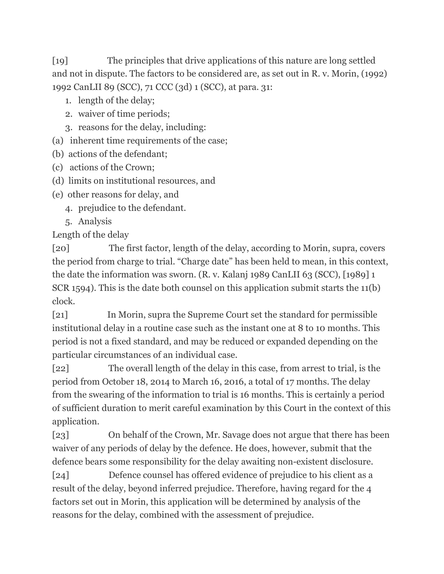[19] The principles that drive applications of this nature are long settled and not in dispute. The factors to be considered are, as set out in R. v. Morin, (1992) 1992 CanLII 89 (SCC), 71 CCC (3d) 1 (SCC), at para. 31:

- 1. length of the delay;
- 2. waiver of time periods;
- 3. reasons for the delay, including:
- (a) inherent time requirements of the case;
- (b) actions of the defendant;
- (c) actions of the Crown;
- (d) limits on institutional resources, and
- (e) other reasons for delay, and
	- 4. prejudice to the defendant.
	- 5. Analysis

Length of the delay

[20] The first factor, length of the delay, according to Morin, supra, covers the period from charge to trial. "Charge date" has been held to mean, in this context, the date the information was sworn. (R. v. Kalanj 1989 CanLII 63 (SCC), [1989] 1 SCR 1594). This is the date both counsel on this application submit starts the 11(b) clock.

[21] In Morin, supra the Supreme Court set the standard for permissible institutional delay in a routine case such as the instant one at 8 to 10 months. This period is not a fixed standard, and may be reduced or expanded depending on the particular circumstances of an individual case.

[22] The overall length of the delay in this case, from arrest to trial, is the period from October 18, 2014 to March 16, 2016, a total of 17 months. The delay from the swearing of the information to trial is 16 months. This is certainly a period of sufficient duration to merit careful examination by this Court in the context of this application.

[23] On behalf of the Crown, Mr. Savage does not argue that there has been waiver of any periods of delay by the defence. He does, however, submit that the defence bears some responsibility for the delay awaiting non-existent disclosure.

[24] Defence counsel has offered evidence of prejudice to his client as a result of the delay, beyond inferred prejudice. Therefore, having regard for the 4 factors set out in Morin, this application will be determined by analysis of the reasons for the delay, combined with the assessment of prejudice.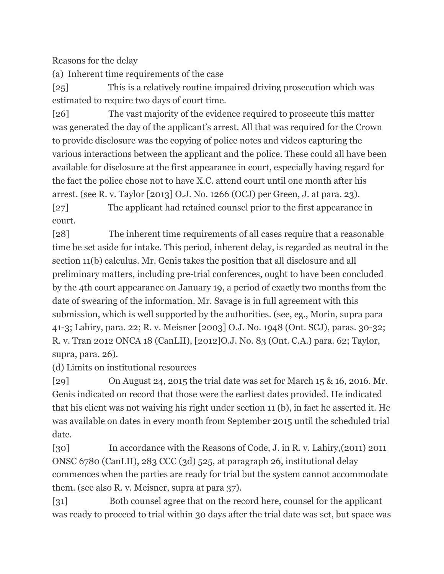Reasons for the delay

(a) Inherent time requirements of the case

[25] This is a relatively routine impaired driving prosecution which was estimated to require two days of court time.

[26] The vast majority of the evidence required to prosecute this matter was generated the day of the applicant's arrest. All that was required for the Crown to provide disclosure was the copying of police notes and videos capturing the various interactions between the applicant and the police. These could all have been available for disclosure at the first appearance in court, especially having regard for the fact the police chose not to have X.C. attend court until one month after his arrest. (see R. v. Taylor [2013] O.J. No. 1266 (OCJ) per Green, J. at para. 23).

[27] The applicant had retained counsel prior to the first appearance in court.

[28] The inherent time requirements of all cases require that a reasonable time be set aside for intake. This period, inherent delay, is regarded as neutral in the section 11(b) calculus. Mr. Genis takes the position that all disclosure and all preliminary matters, including pre-trial conferences, ought to have been concluded by the 4th court appearance on January 19, a period of exactly two months from the date of swearing of the information. Mr. Savage is in full agreement with this submission, which is well supported by the authorities. (see, eg., Morin, supra para 41-3; Lahiry, para. 22; R. v. Meisner [2003] O.J. No. 1948 (Ont. SCJ), paras. 30-32; R. v. Tran 2012 ONCA 18 (CanLII), [2012]O.J. No. 83 (Ont. C.A.) para. 62; Taylor, supra, para. 26).

(d) Limits on institutional resources

[29] On August 24, 2015 the trial date was set for March 15 & 16, 2016. Mr. Genis indicated on record that those were the earliest dates provided. He indicated that his client was not waiving his right under section 11 (b), in fact he asserted it. He was available on dates in every month from September 2015 until the scheduled trial date.

[30] In accordance with the Reasons of Code, J. in R. v. Lahiry,(2011) 2011 ONSC 6780 (CanLII), 283 CCC (3d) 525, at paragraph 26, institutional delay commences when the parties are ready for trial but the system cannot accommodate them. (see also R. v. Meisner, supra at para 37).

[31] Both counsel agree that on the record here, counsel for the applicant was ready to proceed to trial within 30 days after the trial date was set, but space was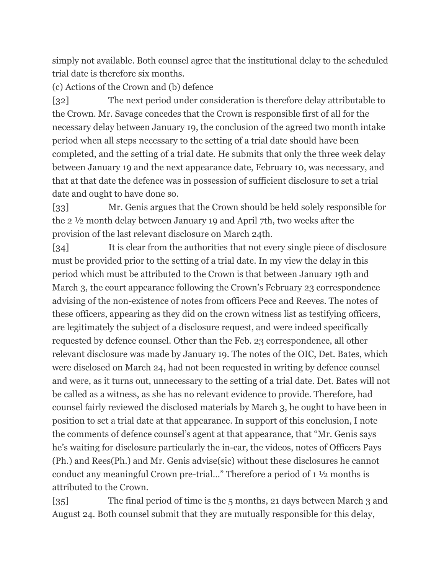simply not available. Both counsel agree that the institutional delay to the scheduled trial date is therefore six months.

(c) Actions of the Crown and (b) defence

[32] The next period under consideration is therefore delay attributable to the Crown. Mr. Savage concedes that the Crown is responsible first of all for the necessary delay between January 19, the conclusion of the agreed two month intake period when all steps necessary to the setting of a trial date should have been completed, and the setting of a trial date. He submits that only the three week delay between January 19 and the next appearance date, February 10, was necessary, and that at that date the defence was in possession of sufficient disclosure to set a trial date and ought to have done so.

[33] Mr. Genis argues that the Crown should be held solely responsible for the 2 ½ month delay between January 19 and April 7th, two weeks after the provision of the last relevant disclosure on March 24th.

[34] It is clear from the authorities that not every single piece of disclosure must be provided prior to the setting of a trial date. In my view the delay in this period which must be attributed to the Crown is that between January 19th and March 3, the court appearance following the Crown's February 23 correspondence advising of the non-existence of notes from officers Pece and Reeves. The notes of these officers, appearing as they did on the crown witness list as testifying officers, are legitimately the subject of a disclosure request, and were indeed specifically requested by defence counsel. Other than the Feb. 23 correspondence, all other relevant disclosure was made by January 19. The notes of the OIC, Det. Bates, which were disclosed on March 24, had not been requested in writing by defence counsel and were, as it turns out, unnecessary to the setting of a trial date. Det. Bates will not be called as a witness, as she has no relevant evidence to provide. Therefore, had counsel fairly reviewed the disclosed materials by March 3, he ought to have been in position to set a trial date at that appearance. In support of this conclusion, I note the comments of defence counsel's agent at that appearance, that "Mr. Genis says he's waiting for disclosure particularly the in-car, the videos, notes of Officers Pays (Ph.) and Rees(Ph.) and Mr. Genis advise(sic) without these disclosures he cannot conduct any meaningful Crown pre-trial…" Therefore a period of 1 ½ months is attributed to the Crown.

[35] The final period of time is the 5 months, 21 days between March 3 and August 24. Both counsel submit that they are mutually responsible for this delay,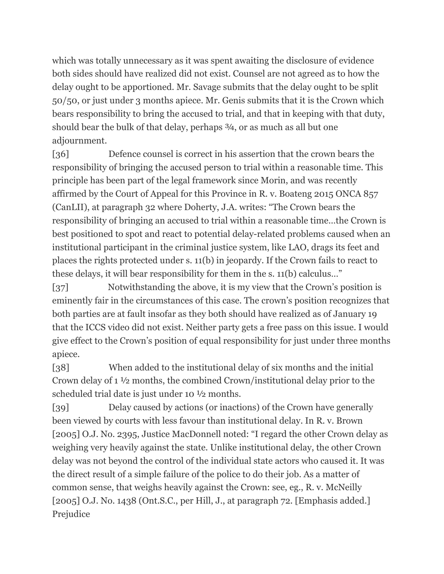which was totally unnecessary as it was spent awaiting the disclosure of evidence both sides should have realized did not exist. Counsel are not agreed as to how the delay ought to be apportioned. Mr. Savage submits that the delay ought to be split 50/50, or just under 3 months apiece. Mr. Genis submits that it is the Crown which bears responsibility to bring the accused to trial, and that in keeping with that duty, should bear the bulk of that delay, perhaps ¾, or as much as all but one adjournment.

[36] Defence counsel is correct in his assertion that the crown bears the responsibility of bringing the accused person to trial within a reasonable time. This principle has been part of the legal framework since Morin, and was recently affirmed by the Court of Appeal for this Province in R. v. Boateng 2015 ONCA 857 (CanLII), at paragraph 32 where Doherty, J.A. writes: "The Crown bears the responsibility of bringing an accused to trial within a reasonable time…the Crown is best positioned to spot and react to potential delay-related problems caused when an institutional participant in the criminal justice system, like LAO, drags its feet and places the rights protected under s. 11(b) in jeopardy. If the Crown fails to react to these delays, it will bear responsibility for them in the s. 11(b) calculus…"

[37] Notwithstanding the above, it is my view that the Crown's position is eminently fair in the circumstances of this case. The crown's position recognizes that both parties are at fault insofar as they both should have realized as of January 19 that the ICCS video did not exist. Neither party gets a free pass on this issue. I would give effect to the Crown's position of equal responsibility for just under three months apiece.

[38] When added to the institutional delay of six months and the initial Crown delay of 1 ½ months, the combined Crown/institutional delay prior to the scheduled trial date is just under 10 ½ months.

[39] Delay caused by actions (or inactions) of the Crown have generally been viewed by courts with less favour than institutional delay. In R. v. Brown [2005] O.J. No. 2395, Justice MacDonnell noted: "I regard the other Crown delay as weighing very heavily against the state. Unlike institutional delay, the other Crown delay was not beyond the control of the individual state actors who caused it. It was the direct result of a simple failure of the police to do their job. As a matter of common sense, that weighs heavily against the Crown: see, eg., R. v. McNeilly [2005] O.J. No. 1438 (Ont.S.C., per Hill, J., at paragraph 72. [Emphasis added.] Prejudice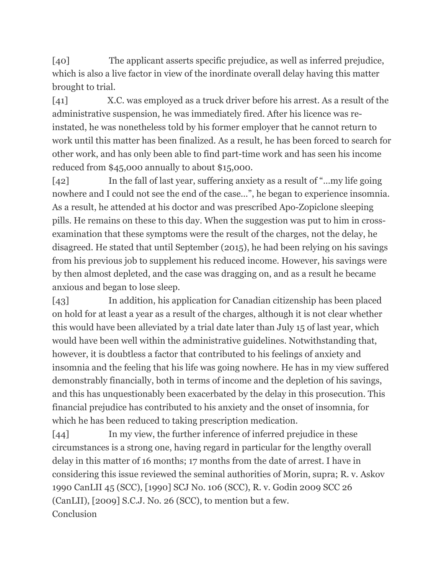[40] The applicant asserts specific prejudice, as well as inferred prejudice, which is also a live factor in view of the inordinate overall delay having this matter brought to trial.

[41] X.C. was employed as a truck driver before his arrest. As a result of the administrative suspension, he was immediately fired. After his licence was reinstated, he was nonetheless told by his former employer that he cannot return to work until this matter has been finalized. As a result, he has been forced to search for other work, and has only been able to find part-time work and has seen his income reduced from \$45,000 annually to about \$15,000.

[42] In the fall of last year, suffering anxiety as a result of "…my life going nowhere and I could not see the end of the case…", he began to experience insomnia. As a result, he attended at his doctor and was prescribed Apo-Zopiclone sleeping pills. He remains on these to this day. When the suggestion was put to him in crossexamination that these symptoms were the result of the charges, not the delay, he disagreed. He stated that until September (2015), he had been relying on his savings from his previous job to supplement his reduced income. However, his savings were by then almost depleted, and the case was dragging on, and as a result he became anxious and began to lose sleep.

[43] In addition, his application for Canadian citizenship has been placed on hold for at least a year as a result of the charges, although it is not clear whether this would have been alleviated by a trial date later than July 15 of last year, which would have been well within the administrative guidelines. Notwithstanding that, however, it is doubtless a factor that contributed to his feelings of anxiety and insomnia and the feeling that his life was going nowhere. He has in my view suffered demonstrably financially, both in terms of income and the depletion of his savings, and this has unquestionably been exacerbated by the delay in this prosecution. This financial prejudice has contributed to his anxiety and the onset of insomnia, for which he has been reduced to taking prescription medication.

[44] In my view, the further inference of inferred prejudice in these circumstances is a strong one, having regard in particular for the lengthy overall delay in this matter of 16 months; 17 months from the date of arrest. I have in considering this issue reviewed the seminal authorities of Morin, supra; R. v. Askov 1990 CanLII 45 (SCC), [1990] SCJ No. 106 (SCC), R. v. Godin 2009 SCC 26 (CanLII), [2009] S.C.J. No. 26 (SCC), to mention but a few. Conclusion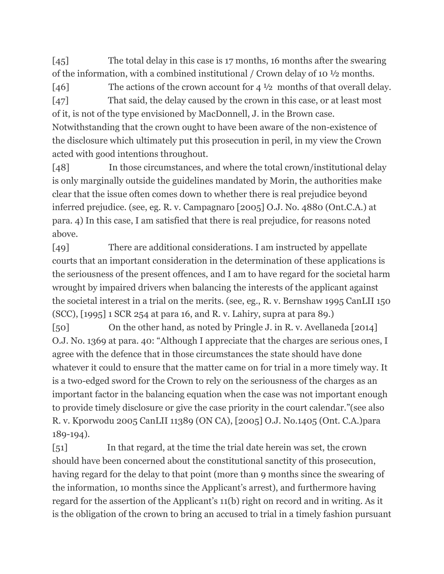[45] The total delay in this case is 17 months, 16 months after the swearing of the information, with a combined institutional / Crown delay of 10 ½ months.

[46] The actions of the crown account for 4 <sup>1</sup>/2 months of that overall delay. [47] That said, the delay caused by the crown in this case, or at least most of it, is not of the type envisioned by MacDonnell, J. in the Brown case. Notwithstanding that the crown ought to have been aware of the non-existence of the disclosure which ultimately put this prosecution in peril, in my view the Crown

acted with good intentions throughout.

[48] In those circumstances, and where the total crown/institutional delay is only marginally outside the guidelines mandated by Morin, the authorities make clear that the issue often comes down to whether there is real prejudice beyond inferred prejudice. (see, eg. R. v. Campagnaro [2005] O.J. No. 4880 (Ont.C.A.) at para. 4) In this case, I am satisfied that there is real prejudice, for reasons noted above.

[49] There are additional considerations. I am instructed by appellate courts that an important consideration in the determination of these applications is the seriousness of the present offences, and I am to have regard for the societal harm wrought by impaired drivers when balancing the interests of the applicant against the societal interest in a trial on the merits. (see, eg., R. v. Bernshaw 1995 CanLII 150 (SCC), [1995] 1 SCR 254 at para 16, and R. v. Lahiry, supra at para 89.)

[50] On the other hand, as noted by Pringle J. in R. v. Avellaneda [2014] O.J. No. 1369 at para. 40: "Although I appreciate that the charges are serious ones, I agree with the defence that in those circumstances the state should have done whatever it could to ensure that the matter came on for trial in a more timely way. It is a two-edged sword for the Crown to rely on the seriousness of the charges as an important factor in the balancing equation when the case was not important enough to provide timely disclosure or give the case priority in the court calendar."(see also R. v. Kporwodu 2005 CanLII 11389 (ON CA), [2005] O.J. No.1405 (Ont. C.A.)para 189-194).

[51] In that regard, at the time the trial date herein was set, the crown should have been concerned about the constitutional sanctity of this prosecution, having regard for the delay to that point (more than 9 months since the swearing of the information, 10 months since the Applicant's arrest), and furthermore having regard for the assertion of the Applicant's 11(b) right on record and in writing. As it is the obligation of the crown to bring an accused to trial in a timely fashion pursuant